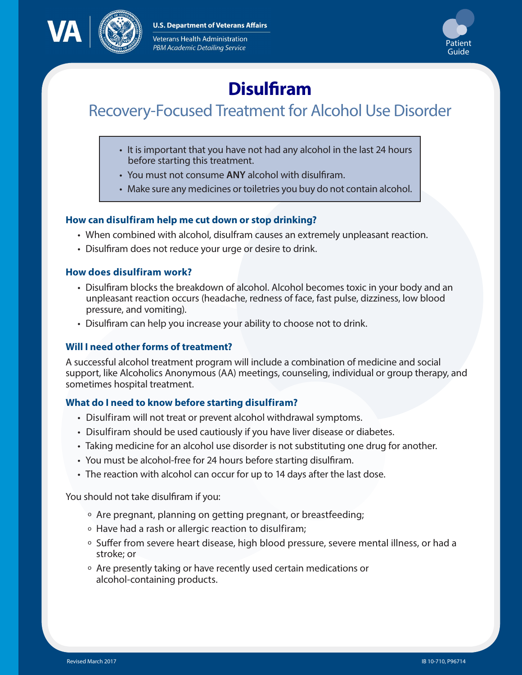**U.S. Department of Veterans Affairs** 



Veterans Health Administration PBM Academic Detailing Service



# **Disulfiram**

# Recovery-Focused Treatment for Alcohol Use Disorder

- It is important that you have not had any alcohol in the last 24 hours before starting this treatment.
- You must not consume **ANY** alcohol with disulfiram.
- Make sure any medicines or toiletries you buy do not contain alcohol.

# **How can disulfiram help me cut down or stop drinking?**

- When combined with alcohol, disulfram causes an extremely unpleasant reaction.
- Disulfiram does not reduce your urge or desire to drink.

## **How does disulfiram work?**

- Disulfiram blocks the breakdown of alcohol. Alcohol becomes toxic in your body and an unpleasant reaction occurs (headache, redness of face, fast pulse, dizziness, low blood pressure, and vomiting).
- Disulfiram can help you increase your ability to choose not to drink.

# **Will I need other forms of treatment?**

A successful alcohol treatment program will include a combination of medicine and social support, like Alcoholics Anonymous (AA) meetings, counseling, individual or group therapy, and sometimes hospital treatment.

#### **What do I need to know before starting disulfiram?**

- Disulfiram will not treat or prevent alcohol withdrawal symptoms.
- Disulfiram should be used cautiously if you have liver disease or diabetes.
- Taking medicine for an alcohol use disorder is not substituting one drug for another.
- You must be alcohol-free for 24 hours before starting disulfiram.
- The reaction with alcohol can occur for up to 14 days after the last dose.

You should not take disulfiram if you:

- <sup>o</sup> Are pregnant, planning on getting pregnant, or breastfeeding;
- <sup>o</sup> Have had a rash or allergic reaction to disulfiram;
- <sup>o</sup> Suffer from severe heart disease, high blood pressure, severe mental illness, or had a stroke; or
- <sup>o</sup> Are presently taking or have recently used certain medications or alcohol-containing products.